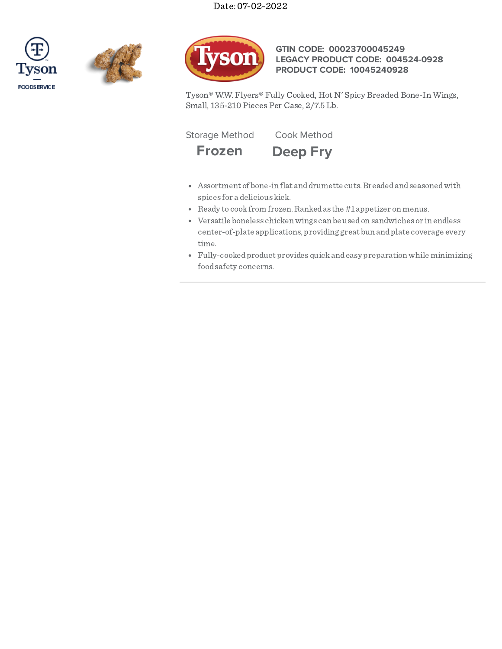





# **GTIN CODE: 00023700045249 LEGACY PRODUCT CODE: 004524-0928 PRODUCT CODE: 10045240928**

Tyson® W.W. Flyers® Fully Cooked, Hot N' Spicy Breaded Bone-In Wings, Small, 135-210 Pieces Per Case, 2/7.5 Lb.

Storage Method Cook Method



**Frozen Deep Fry**

- Assortment of bone-in flat and drumette cuts. Breaded and seasoned with spices for a delicious kick.
- Ready to cook from frozen. Ranked as the #1 appetizer on menus.
- Versatile boneless chickenwings can be usedon sandwiches or in endless center-of-plate applications, providing great bun andplate coverage every time.
- Fully-cookedproduct provides quickandeasy preparationwhile minimizing foodsafety concerns.